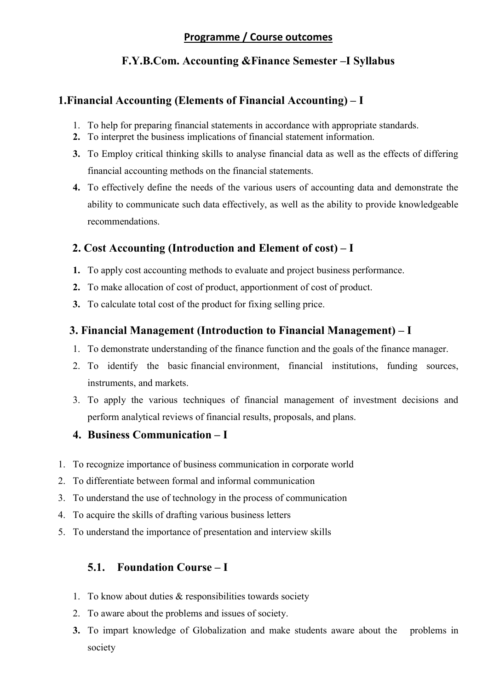### Programme / Course outcomes

# F.Y.B.Com. Accounting &Finance Semester –I Syllabus

# 1.Financial Accounting (Elements of Financial Accounting) – I

- 1. To help for preparing financial statements in accordance with appropriate standards.
- 2. To interpret the business implications of financial statement information.
- 3. To Employ critical thinking skills to analyse financial data as well as the effects of differing financial accounting methods on the financial statements.
- 4. To effectively define the needs of the various users of accounting data and demonstrate the ability to communicate such data effectively, as well as the ability to provide knowledgeable recommendations.

# 2. Cost Accounting (Introduction and Element of cost) – I

- 1. To apply cost accounting methods to evaluate and project business performance.
- 2. To make allocation of cost of product, apportionment of cost of product.
- 3. To calculate total cost of the product for fixing selling price.

# 3. Financial Management (Introduction to Financial Management) – I

- 1. To demonstrate understanding of the finance function and the goals of the finance manager.
- 2. To identify the basic financial environment, financial institutions, funding sources, instruments, and markets.
- 3. To apply the various techniques of financial management of investment decisions and perform analytical reviews of financial results, proposals, and plans.

### 4. Business Communication – I

- 1. To recognize importance of business communication in corporate world
- 2. To differentiate between formal and informal communication
- 3. To understand the use of technology in the process of communication
- 4. To acquire the skills of drafting various business letters
- 5. To understand the importance of presentation and interview skills

# 5.1. Foundation Course – I

- 1. To know about duties & responsibilities towards society
- 2. To aware about the problems and issues of society.
- 3. To impart knowledge of Globalization and make students aware about the problems in society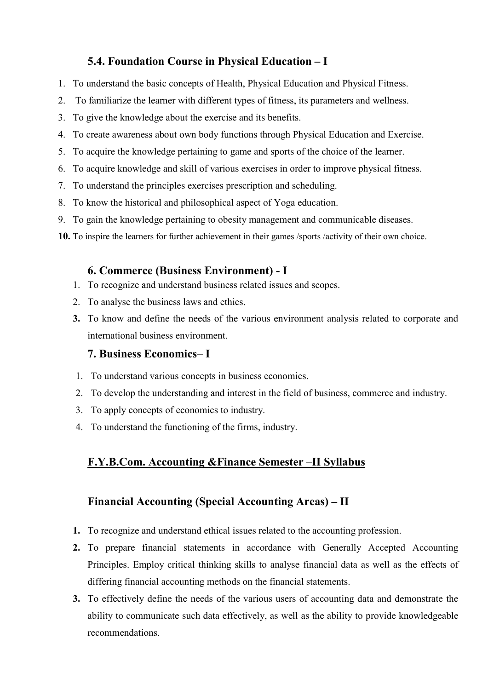# 5.4. Foundation Course in Physical Education – I

- 1. To understand the basic concepts of Health, Physical Education and Physical Fitness.
- 2. To familiarize the learner with different types of fitness, its parameters and wellness.
- 3. To give the knowledge about the exercise and its benefits.
- 4. To create awareness about own body functions through Physical Education and Exercise.
- 5. To acquire the knowledge pertaining to game and sports of the choice of the learner.
- 6. To acquire knowledge and skill of various exercises in order to improve physical fitness.
- 7. To understand the principles exercises prescription and scheduling.
- 8. To know the historical and philosophical aspect of Yoga education.
- 9. To gain the knowledge pertaining to obesity management and communicable diseases.
- 10. To inspire the learners for further achievement in their games /sports /activity of their own choice.

### 6. Commerce (Business Environment) - I

- 1. To recognize and understand business related issues and scopes.
- 2. To analyse the business laws and ethics.
- 3. To know and define the needs of the various environment analysis related to corporate and international business environment.

### 7. Business Economics– I

- 1. To understand various concepts in business economics.
- 2. To develop the understanding and interest in the field of business, commerce and industry.
- 3. To apply concepts of economics to industry.
- 4. To understand the functioning of the firms, industry.

# F.Y.B.Com. Accounting &Finance Semester –II Syllabus

# Financial Accounting (Special Accounting Areas) – II

- 1. To recognize and understand ethical issues related to the accounting profession.
- 2. To prepare financial statements in accordance with Generally Accepted Accounting Principles. Employ critical thinking skills to analyse financial data as well as the effects of differing financial accounting methods on the financial statements.
- 3. To effectively define the needs of the various users of accounting data and demonstrate the ability to communicate such data effectively, as well as the ability to provide knowledgeable recommendations.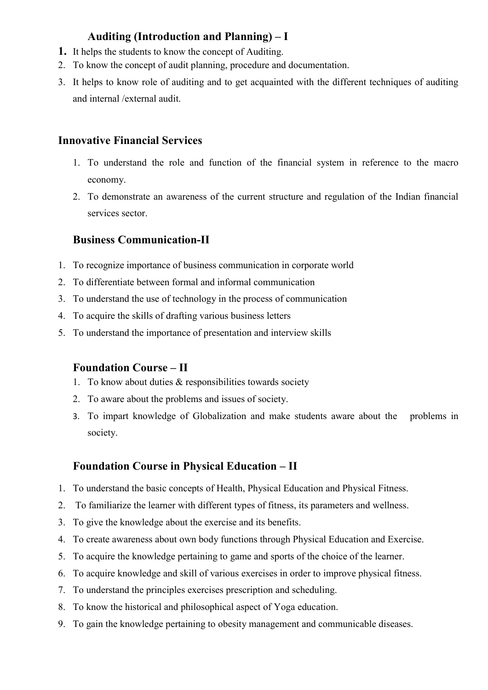# Auditing (Introduction and Planning) – I

- 1. It helps the students to know the concept of Auditing.
- 2. To know the concept of audit planning, procedure and documentation.
- 3. It helps to know role of auditing and to get acquainted with the different techniques of auditing and internal /external audit.

### Innovative Financial Services

- 1. To understand the role and function of the financial system in reference to the macro economy.
- 2. To demonstrate an awareness of the current structure and regulation of the Indian financial services sector.

### Business Communication-II

- 1. To recognize importance of business communication in corporate world
- 2. To differentiate between formal and informal communication
- 3. To understand the use of technology in the process of communication
- 4. To acquire the skills of drafting various business letters
- 5. To understand the importance of presentation and interview skills

### Foundation Course – II

- 1. To know about duties & responsibilities towards society
- 2. To aware about the problems and issues of society.
- 3. To impart knowledge of Globalization and make students aware about the problems in society.

### Foundation Course in Physical Education – II

- 1. To understand the basic concepts of Health, Physical Education and Physical Fitness.
- 2. To familiarize the learner with different types of fitness, its parameters and wellness.
- 3. To give the knowledge about the exercise and its benefits.
- 4. To create awareness about own body functions through Physical Education and Exercise.
- 5. To acquire the knowledge pertaining to game and sports of the choice of the learner.
- 6. To acquire knowledge and skill of various exercises in order to improve physical fitness.
- 7. To understand the principles exercises prescription and scheduling.
- 8. To know the historical and philosophical aspect of Yoga education.
- 9. To gain the knowledge pertaining to obesity management and communicable diseases.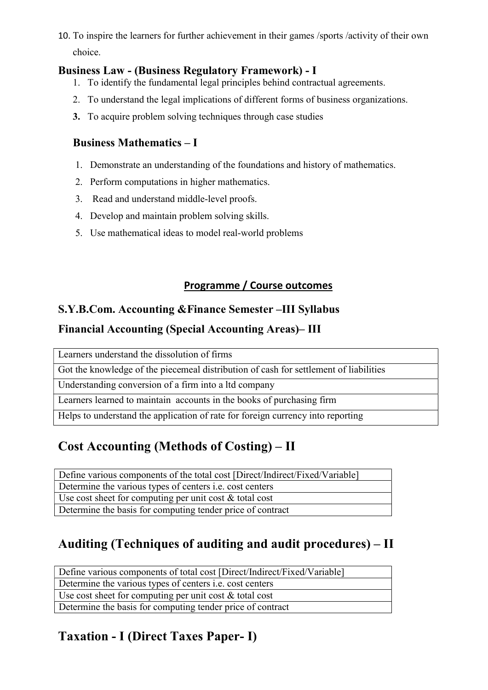10. To inspire the learners for further achievement in their games /sports /activity of their own choice.

### Business Law - (Business Regulatory Framework) - I

- 1. To identify the fundamental legal principles behind contractual agreements.
- 2. To understand the legal implications of different forms of business organizations.
- 3. To acquire problem solving techniques through case studies

# Business Mathematics – I

- 1. Demonstrate an understanding of the foundations and history of mathematics.
- 2. Perform computations in higher mathematics.
- 3. Read and understand middle-level proofs.
- 4. Develop and maintain problem solving skills.
- 5. Use mathematical ideas to model real-world problems

# Programme / Course outcomes

# S.Y.B.Com. Accounting &Finance Semester –III Syllabus

# Financial Accounting (Special Accounting Areas)– III

Learners understand the dissolution of firms

Got the knowledge of the piecemeal distribution of cash for settlement of liabilities

Understanding conversion of a firm into a ltd company

Learners learned to maintain accounts in the books of purchasing firm

Helps to understand the application of rate for foreign currency into reporting

# Cost Accounting (Methods of Costing) – II

Define various components of the total cost [Direct/Indirect/Fixed/Variable]

Determine the various types of centers i.e. cost centers

Use cost sheet for computing per unit cost  $\&$  total cost

Determine the basis for computing tender price of contract

# Auditing (Techniques of auditing and audit procedures) – II

Define various components of total cost [Direct/Indirect/Fixed/Variable] Determine the various types of centers i.e. cost centers Use cost sheet for computing per unit cost & total cost Determine the basis for computing tender price of contract

# Taxation - I (Direct Taxes Paper- I)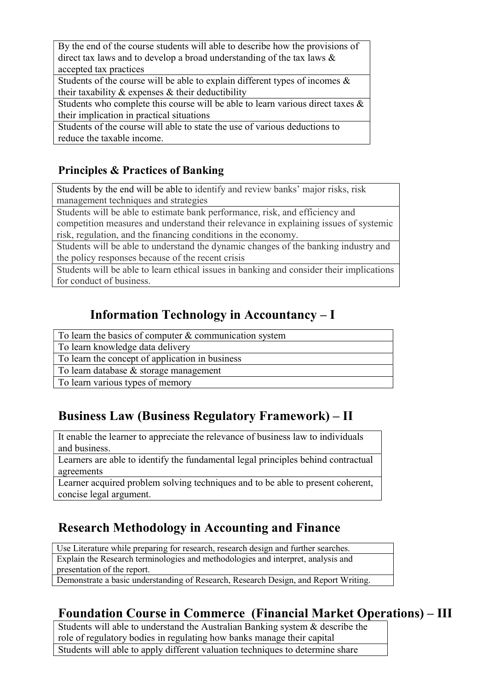By the end of the course students will able to describe how the provisions of direct tax laws and to develop a broad understanding of the tax laws & accepted tax practices

Students of the course will be able to explain different types of incomes  $\&$ their taxability  $\&$  expenses  $\&$  their deductibility

Students who complete this course will be able to learn various direct taxes & their implication in practical situations

Students of the course will able to state the use of various deductions to reduce the taxable income.

# Principles & Practices of Banking

Students by the end will be able to identify and review banks' major risks, risk management techniques and strategies

Students will be able to estimate bank performance, risk, and efficiency and competition measures and understand their relevance in explaining issues of systemic risk, regulation, and the financing conditions in the economy.

Students will be able to understand the dynamic changes of the banking industry and the policy responses because of the recent crisis

Students will be able to learn ethical issues in banking and consider their implications for conduct of business.

# Information Technology in Accountancy – I

To learn the basics of computer & communication system

To learn knowledge data delivery

To learn the concept of application in business

To learn database & storage management

To learn various types of memory

# Business Law (Business Regulatory Framework) – II

It enable the learner to appreciate the relevance of business law to individuals and business.

Learners are able to identify the fundamental legal principles behind contractual agreements

Learner acquired problem solving techniques and to be able to present coherent, concise legal argument.

# Research Methodology in Accounting and Finance

Use Literature while preparing for research, research design and further searches. Explain the Research terminologies and methodologies and interpret, analysis and presentation of the report.

Demonstrate a basic understanding of Research, Research Design, and Report Writing.

# Foundation Course in Commerce (Financial Market Operations) – III

Students will able to understand the Australian Banking system & describe the role of regulatory bodies in regulating how banks manage their capital Students will able to apply different valuation techniques to determine share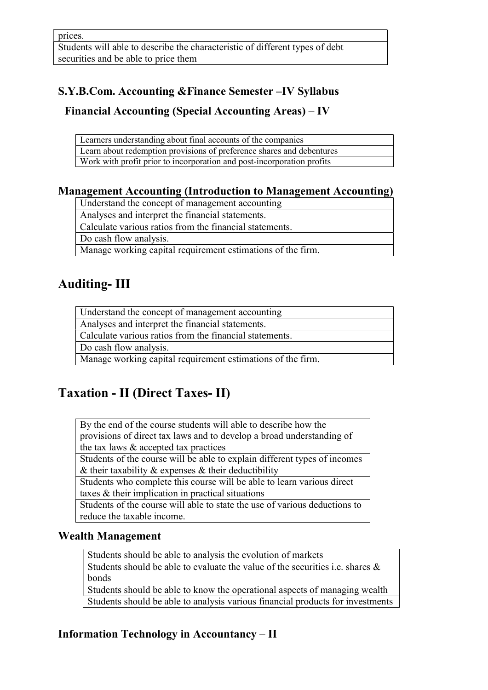# S.Y.B.Com. Accounting &Finance Semester –IV Syllabus

# Financial Accounting (Special Accounting Areas) – IV

| Learners understanding about final accounts of the companies           |
|------------------------------------------------------------------------|
| Learn about redemption provisions of preference shares and debentures  |
| Work with profit prior to incorporation and post-incorporation profits |

### Management Accounting (Introduction to Management Accounting)

Understand the concept of management accounting

Analyses and interpret the financial statements.

Calculate various ratios from the financial statements.

Do cash flow analysis.

Manage working capital requirement estimations of the firm.

# Auditing- III

| Understand the concept of management accounting             |
|-------------------------------------------------------------|
| Analyses and interpret the financial statements.            |
| Calculate various ratios from the financial statements.     |
| Do cash flow analysis.                                      |
| Manage working capital requirement estimations of the firm. |

# Taxation - II (Direct Taxes- II)

By the end of the course students will able to describe how the provisions of direct tax laws and to develop a broad understanding of the tax laws & accepted tax practices

Students of the course will be able to explain different types of incomes & their taxability  $&$  expenses  $&$  their deductibility

Students who complete this course will be able to learn various direct taxes & their implication in practical situations

Students of the course will able to state the use of various deductions to reduce the taxable income.

# Wealth Management

Students should be able to analysis the evolution of markets

Students should be able to evaluate the value of the securities i.e. shares  $\&$ bonds

Students should be able to know the operational aspects of managing wealth Students should be able to analysis various financial products for investments

# Information Technology in Accountancy – II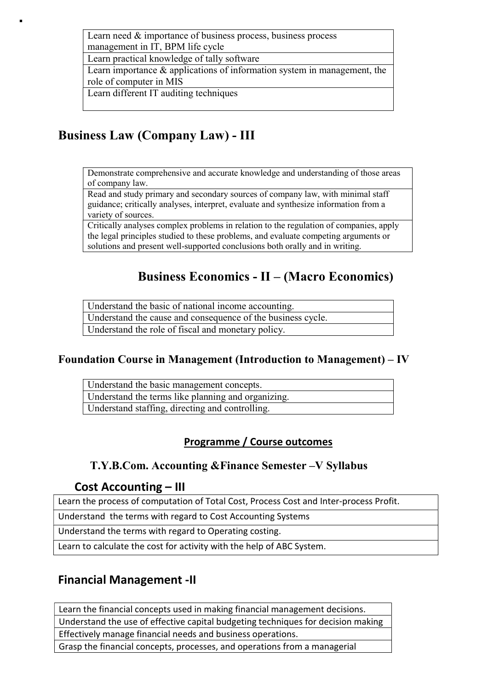Learn need & importance of business process, business process management in IT, BPM life cycle

Learn practical knowledge of tally software

Learn importance & applications of information system in management, the role of computer in MIS

Learn different IT auditing techniques

# Business Law (Company Law) - III

Demonstrate comprehensive and accurate knowledge and understanding of those areas of company law.

Read and study primary and secondary sources of company law, with minimal staff guidance; critically analyses, interpret, evaluate and synthesize information from a variety of sources.

Critically analyses complex problems in relation to the regulation of companies, apply the legal principles studied to these problems, and evaluate competing arguments or solutions and present well-supported conclusions both orally and in writing.

# Business Economics - II – (Macro Economics)

Understand the basic of national income accounting. Understand the cause and consequence of the business cycle. Understand the role of fiscal and monetary policy.

# Foundation Course in Management (Introduction to Management) – IV

Understand the basic management concepts. Understand the terms like planning and organizing. Understand staffing, directing and controlling.

# Programme / Course outcomes

# T.Y.B.Com. Accounting &Finance Semester –V Syllabus

### Cost Accounting – III

Learn the process of computation of Total Cost, Process Cost and Inter-process Profit.

Understand the terms with regard to Cost Accounting Systems

Understand the terms with regard to Operating costing.

Learn to calculate the cost for activity with the help of ABC System.

# Financial Management -II

Learn the financial concepts used in making financial management decisions. Understand the use of effective capital budgeting techniques for decision making Effectively manage financial needs and business operations. Grasp the financial concepts, processes, and operations from a managerial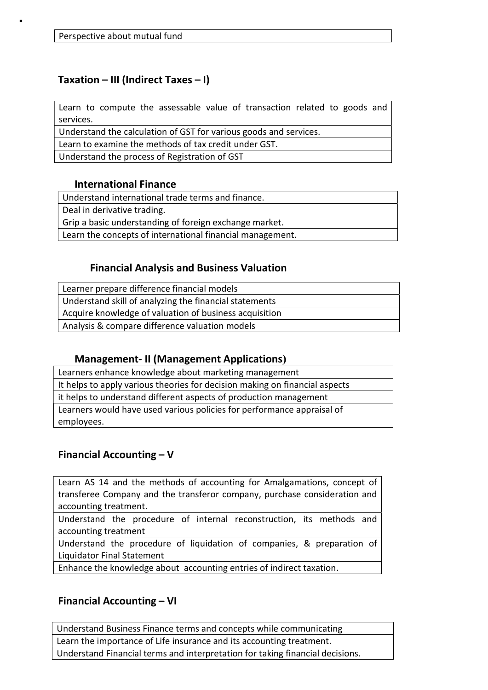### Taxation – III (Indirect Taxes – I)

Learn to compute the assessable value of transaction related to goods and services.

Understand the calculation of GST for various goods and services.

Learn to examine the methods of tax credit under GST.

Understand the process of Registration of GST

### International Finance

Understand international trade terms and finance.

Deal in derivative trading.

Grip a basic understanding of foreign exchange market.

Learn the concepts of international financial management.

### Financial Analysis and Business Valuation

| Learner prepare difference financial models            |
|--------------------------------------------------------|
| Understand skill of analyzing the financial statements |
| Acquire knowledge of valuation of business acquisition |
| Analysis & compare difference valuation models         |

### Management- II (Management Applications)

| Learners enhance knowledge about marketing management                       |
|-----------------------------------------------------------------------------|
| It helps to apply various theories for decision making on financial aspects |
| it helps to understand different aspects of production management           |
| Learners would have used various policies for performance appraisal of      |
| employees.                                                                  |

### Financial Accounting – V

Learn AS 14 and the methods of accounting for Amalgamations, concept of transferee Company and the transferor company, purchase consideration and accounting treatment.

Understand the procedure of internal reconstruction, its methods and accounting treatment

Understand the procedure of liquidation of companies, & preparation of Liquidator Final Statement

Enhance the knowledge about accounting entries of indirect taxation.

### Financial Accounting – VI

Understand Business Finance terms and concepts while communicating Learn the importance of Life insurance and its accounting treatment. Understand Financial terms and interpretation for taking financial decisions.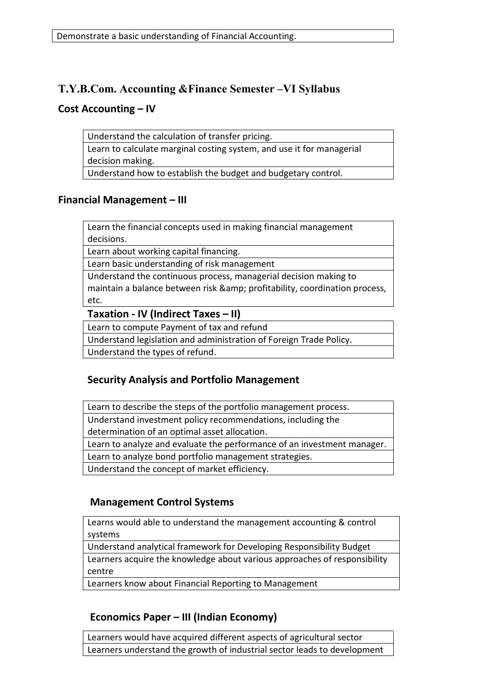### T.Y.B.Com. Accounting &Finance Semester –VI Syllabus

### Cost Accounting – IV

Understand the calculation of transfer pricing. Learn to calculate marginal costing system, and use it for managerial decision making. Understand how to establish the budget and budgetary control.

### Financial Management – III

Learn the financial concepts used in making financial management decisions.

Learn about working capital financing.

Learn basic understanding of risk management

Understand the continuous process, managerial decision making to maintain a balance between risk & amp; profitability, coordination process, etc.

Taxation - IV (Indirect Taxes – II)

Learn to compute Payment of tax and refund

Understand legislation and administration of Foreign Trade Policy.

Understand the types of refund.

### Security Analysis and Portfolio Management

Learn to describe the steps of the portfolio management process.

Understand investment policy recommendations, including the

determination of an optimal asset allocation.

Learn to analyze and evaluate the performance of an investment manager.

Learn to analyze bond portfolio management strategies.

Understand the concept of market efficiency.

### Management Control Systems

Learns would able to understand the management accounting & control systems

Understand analytical framework for Developing Responsibility Budget Learners acquire the knowledge about various approaches of responsibility centre

Learners know about Financial Reporting to Management

### Economics Paper – III (Indian Economy)

Learners would have acquired different aspects of agricultural sector Learners understand the growth of industrial sector leads to development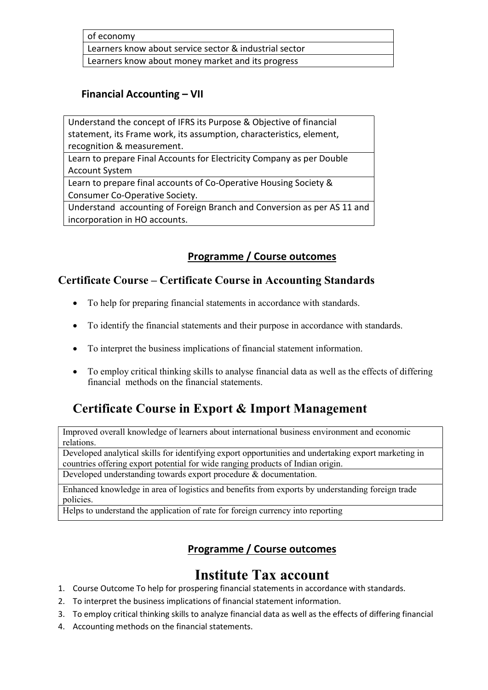of economy

Learners know about service sector & industrial sector

Learners know about money market and its progress

### Financial Accounting – VII

Understand the concept of IFRS its Purpose & Objective of financial statement, its Frame work, its assumption, characteristics, element, recognition & measurement.

Learn to prepare Final Accounts for Electricity Company as per Double Account System

Learn to prepare final accounts of Co-Operative Housing Society & Consumer Co-Operative Society.

Understand accounting of Foreign Branch and Conversion as per AS 11 and incorporation in HO accounts.

# Programme / Course outcomes

### Certificate Course – Certificate Course in Accounting Standards

- To help for preparing financial statements in accordance with standards.
- To identify the financial statements and their purpose in accordance with standards.
- To interpret the business implications of financial statement information.
- To employ critical thinking skills to analyse financial data as well as the effects of differing financial methods on the financial statements.

# Certificate Course in Export & Import Management

Improved overall knowledge of learners about international business environment and economic relations.

Developed analytical skills for identifying export opportunities and undertaking export marketing in countries offering export potential for wide ranging products of Indian origin.

Developed understanding towards export procedure & documentation.

Enhanced knowledge in area of logistics and benefits from exports by understanding foreign trade policies.

Helps to understand the application of rate for foreign currency into reporting

# Programme / Course outcomes

# Institute Tax account

- 1. Course Outcome To help for prospering financial statements in accordance with standards.
- 2. To interpret the business implications of financial statement information.
- 3. To employ critical thinking skills to analyze financial data as well as the effects of differing financial
- 4. Accounting methods on the financial statements.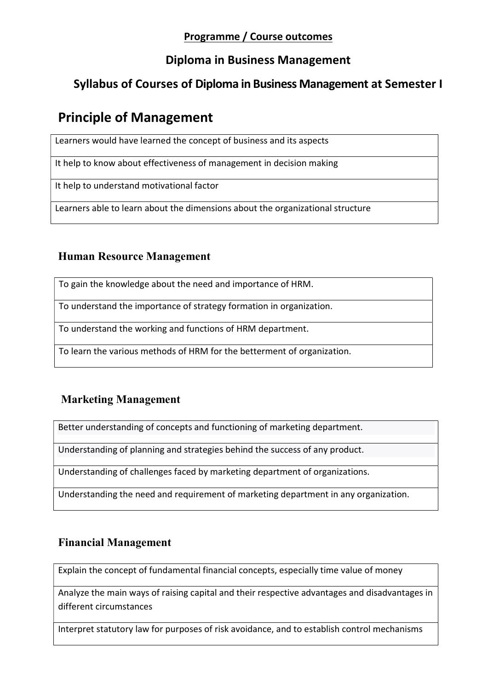# Programme / Course outcomes

# Diploma in Business Management

# Syllabus of Courses of Diploma in Business Management at Semester I

# Principle of Management

Learners would have learned the concept of business and its aspects

It help to know about effectiveness of management in decision making

It help to understand motivational factor

Learners able to learn about the dimensions about the organizational structure

# Human Resource Management

To gain the knowledge about the need and importance of HRM.

To understand the importance of strategy formation in organization.

To understand the working and functions of HRM department.

To learn the various methods of HRM for the betterment of organization.

# Marketing Management

Better understanding of concepts and functioning of marketing department.

Understanding of planning and strategies behind the success of any product.

Understanding of challenges faced by marketing department of organizations.

Understanding the need and requirement of marketing department in any organization.

# Financial Management

Explain the concept of fundamental financial concepts, especially time value of money

Analyze the main ways of raising capital and their respective advantages and disadvantages in different circumstances

Interpret statutory law for purposes of risk avoidance, and to establish control mechanisms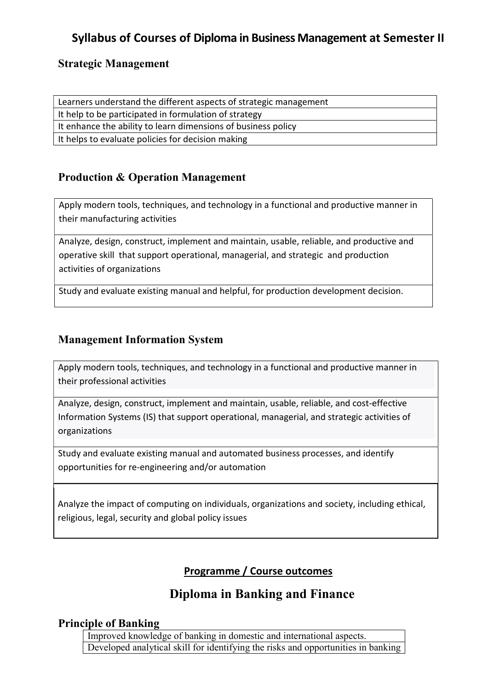# Syllabus of Courses of Diploma in Business Management at Semester II

### Strategic Management

Learners understand the different aspects of strategic management It help to be participated in formulation of strategy It enhance the ability to learn dimensions of business policy It helps to evaluate policies for decision making

# Production & Operation Management

Apply modern tools, techniques, and technology in a functional and productive manner in their manufacturing activities

Analyze, design, construct, implement and maintain, usable, reliable, and productive and operative skill that support operational, managerial, and strategic and production activities of organizations

Study and evaluate existing manual and helpful, for production development decision.

## Management Information System

Apply modern tools, techniques, and technology in a functional and productive manner in their professional activities

Analyze, design, construct, implement and maintain, usable, reliable, and cost-effective Information Systems (IS) that support operational, managerial, and strategic activities of organizations

Study and evaluate existing manual and automated business processes, and identify opportunities for re-engineering and/or automation

Analyze the impact of computing on individuals, organizations and society, including ethical, religious, legal, security and global policy issues

# Programme / Course outcomes

# Diploma in Banking and Finance

### Principle of Banking